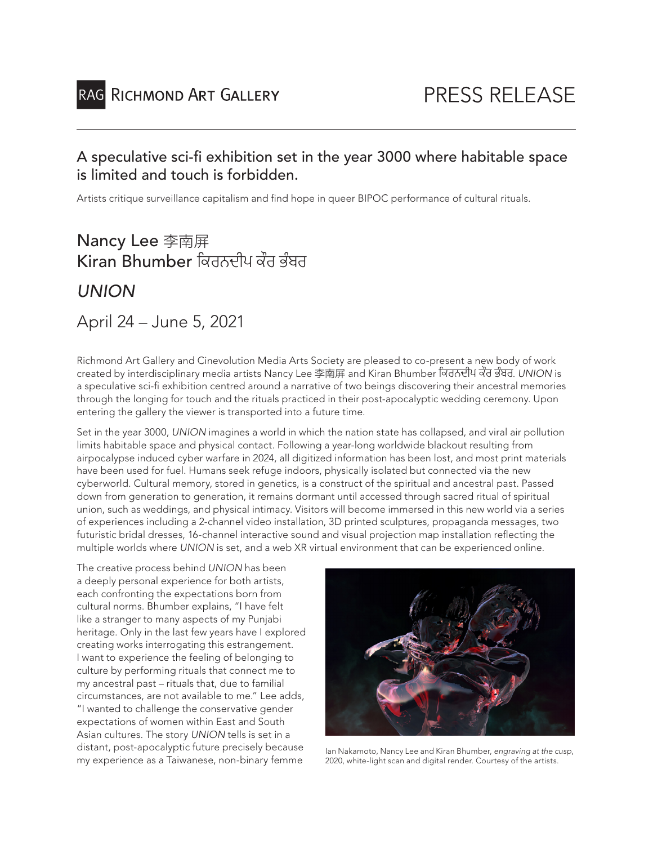### A speculative sci-fi exhibition set in the year 3000 where habitable space is limited and touch is forbidden.

Artists critique surveillance capitalism and find hope in queer BIPOC performance of cultural rituals.

# Nancy Lee 李南屏 Kiran Bhumber ਿਕਰਨਦੀਪ ਕੌਰ ਭੰਬਰ

*UNION*

### April 24 – June 5, 2021

Richmond Art Gallery and Cinevolution Media Arts Society are pleased to co-present a new body of work created by interdisciplinary media artists Nancy Lee 李南屏 and Kiran Bhumber ਿਕਰਨਦੀਪ ਕੌਰ ਭੰਬਰ. *UNION* is a speculative sci-fi exhibition centred around a narrative of two beings discovering their ancestral memories through the longing for touch and the rituals practiced in their post-apocalyptic wedding ceremony. Upon entering the gallery the viewer is transported into a future time.

Set in the year 3000, *UNION* imagines a world in which the nation state has collapsed, and viral air pollution limits habitable space and physical contact. Following a year-long worldwide blackout resulting from airpocalypse induced cyber warfare in 2024, all digitized information has been lost, and most print materials have been used for fuel. Humans seek refuge indoors, physically isolated but connected via the new cyberworld. Cultural memory, stored in genetics, is a construct of the spiritual and ancestral past. Passed down from generation to generation, it remains dormant until accessed through sacred ritual of spiritual union, such as weddings, and physical intimacy. Visitors will become immersed in this new world via a series of experiences including a 2-channel video installation, 3D printed sculptures, propaganda messages, two futuristic bridal dresses, 16-channel interactive sound and visual projection map installation reflecting the multiple worlds where *UNION* is set, and a web XR virtual environment that can be experienced online.

The creative process behind *UNION* has been a deeply personal experience for both artists, each confronting the expectations born from cultural norms. Bhumber explains, "I have felt like a stranger to many aspects of my Punjabi heritage. Only in the last few years have I explored creating works interrogating this estrangement. I want to experience the feeling of belonging to culture by performing rituals that connect me to my ancestral past – rituals that, due to familial circumstances, are not available to me." Lee adds, "I wanted to challenge the conservative gender expectations of women within East and South Asian cultures. The story *UNION* tells is set in a distant, post-apocalyptic future precisely because



distant, post-apocalyptic future precisely because lan Nakamoto, Nancy Lee and Kiran Bhumber, *engraving at the cusp*,<br>1997, my experience as a Taiwanese, non-binary femme 2020, white-light scan and digital render. Courtes 2020, white-light scan and digital render. Courtesy of the artists.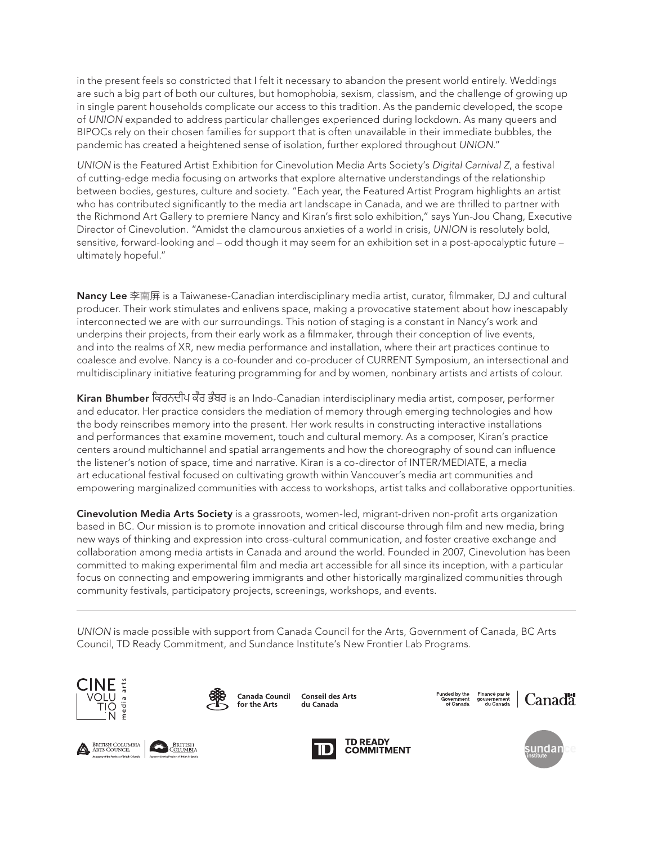in the present feels so constricted that I felt it necessary to abandon the present world entirely. Weddings are such a big part of both our cultures, but homophobia, sexism, classism, and the challenge of growing up in single parent households complicate our access to this tradition. As the pandemic developed, the scope of *UNION* expanded to address particular challenges experienced during lockdown. As many queers and BIPOCs rely on their chosen families for support that is often unavailable in their immediate bubbles, the pandemic has created a heightened sense of isolation, further explored throughout *UNION*."

*UNION* is the Featured Artist Exhibition for Cinevolution Media Arts Society's *Digital Carnival Z*, a festival of cutting-edge media focusing on artworks that explore alternative understandings of the relationship between bodies, gestures, culture and society. "Each year, the Featured Artist Program highlights an artist who has contributed significantly to the media art landscape in Canada, and we are thrilled to partner with the Richmond Art Gallery to premiere Nancy and Kiran's first solo exhibition," says Yun-Jou Chang, Executive Director of Cinevolution. "Amidst the clamourous anxieties of a world in crisis, *UNION* is resolutely bold, sensitive, forward-looking and – odd though it may seem for an exhibition set in a post-apocalyptic future – ultimately hopeful."

Nancy Lee 李南屏 is a Taiwanese-Canadian interdisciplinary media artist, curator, filmmaker, DJ and cultural producer. Their work stimulates and enlivens space, making a provocative statement about how inescapably interconnected we are with our surroundings. This notion of staging is a constant in Nancy's work and underpins their projects, from their early work as a filmmaker, through their conception of live events, and into the realms of XR, new media performance and installation, where their art practices continue to coalesce and evolve. Nancy is a co-founder and co-producer of CURRENT Symposium, an intersectional and multidisciplinary initiative featuring programming for and by women, nonbinary artists and artists of colour.

Kiran Bhumber ਿਕਰਨਦੀਪ ਕੌਰ ਭੰਬਰ is an Indo-Canadian interdisciplinary media artist, composer, performer and educator. Her practice considers the mediation of memory through emerging technologies and how the body reinscribes memory into the present. Her work results in constructing interactive installations and performances that examine movement, touch and cultural memory. As a composer, Kiran's practice centers around multichannel and spatial arrangements and how the choreography of sound can influence the listener's notion of space, time and narrative. Kiran is a co-director of INTER/MEDIATE, a media art educational festival focused on cultivating growth within Vancouver's media art communities and empowering marginalized communities with access to workshops, artist talks and collaborative opportunities.

Cinevolution Media Arts Society is a grassroots, women-led, migrant-driven non-profit arts organization based in BC. Our mission is to promote innovation and critical discourse through film and new media, bring new ways of thinking and expression into cross-cultural communication, and foster creative exchange and collaboration among media artists in Canada and around the world. Founded in 2007, Cinevolution has been committed to making experimental film and media art accessible for all since its inception, with a particular focus on connecting and empowering immigrants and other historically marginalized communities through community festivals, participatory projects, screenings, workshops, and events.

*UNION* is made possible with support from Canada Council for the Arts, Government of Canada, BC Arts Council, TD Ready Commitment, and Sundance Institute's New Frontier Lab Programs.





for the Arts

**Canada Council** du Canada

**Conseil des Arts**